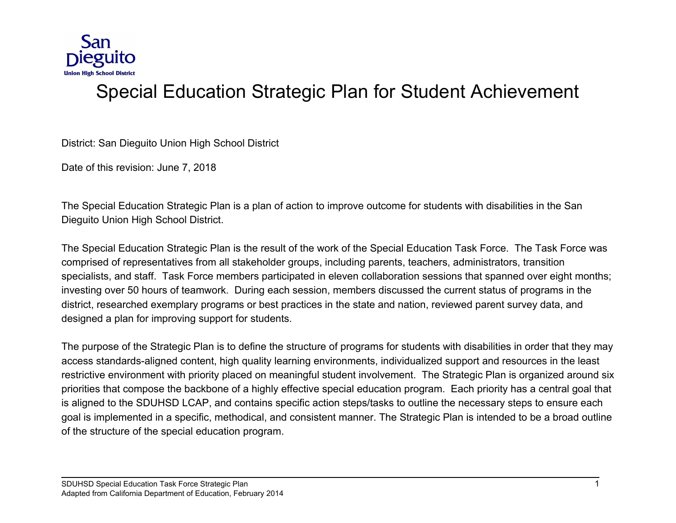

# Special Education Strategic Plan for Student Achievement

District: San Dieguito Union High School District

Date of this revision: June 7, 2018

The Special Education Strategic Plan is a plan of action to improve outcome for students with disabilities in the San Dieguito Union High School District.

The Special Education Strategic Plan is the result of the work of the Special Education Task Force. The Task Force was comprised of representatives from all stakeholder groups, including parents, teachers, administrators, transition specialists, and staff. Task Force members participated in eleven collaboration sessions that spanned over eight months; investing over 50 hours of teamwork. During each session, members discussed the current status of programs in the district, researched exemplary programs or best practices in the state and nation, reviewed parent survey data, and designed a plan for improving support for students.

The purpose of the Strategic Plan is to define the structure of programs for students with disabilities in order that they may access standards-aligned content, high quality learning environments, individualized support and resources in the least restrictive environment with priority placed on meaningful student involvement. The Strategic Plan is organized around six priorities that compose the backbone of a highly effective special education program. Each priority has a central goal that is aligned to the SDUHSD LCAP, and contains specific action steps/tasks to outline the necessary steps to ensure each goal is implemented in a specific, methodical, and consistent manner. The Strategic Plan is intended to be a broad outline of the structure of the special education program.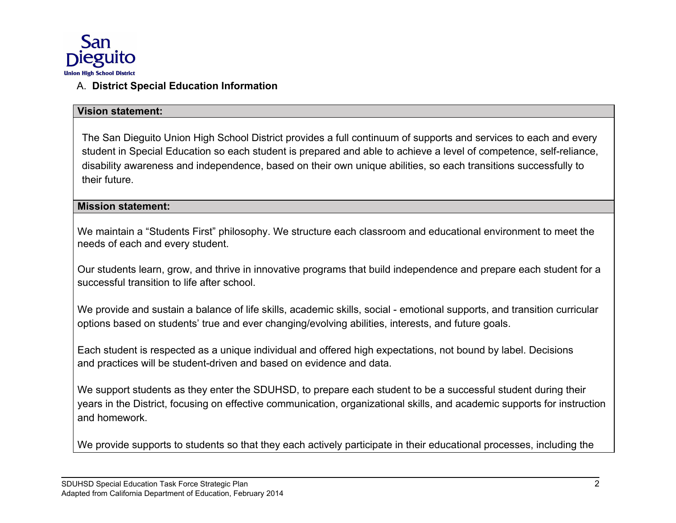

## A. **District Special Education Information**

#### **Vision statement:**

The San Dieguito Union High School District provides a full continuum of supports and services to each and every student in Special Education so each student is prepared and able to achieve a level of competence, self-reliance, disability awareness and independence, based on their own unique abilities, so each transitions successfully to their future.

#### **Mission statement:**

We maintain a "Students First" philosophy. We structure each classroom and educational environment to meet the needs of each and every student.

Our students learn, grow, and thrive in innovative programs that build independence and prepare each student for a successful transition to life after school.

We provide and sustain a balance of life skills, academic skills, social - emotional supports, and transition curricular options based on students' true and ever changing/evolving abilities, interests, and future goals.

Each student is respected as a unique individual and offered high expectations, not bound by label. Decisions and practices will be student-driven and based on evidence and data.

We support students as they enter the SDUHSD, to prepare each student to be a successful student during their years in the District, focusing on effective communication, organizational skills, and academic supports for instruction and homework.

We provide supports to students so that they each actively participate in their educational processes, including the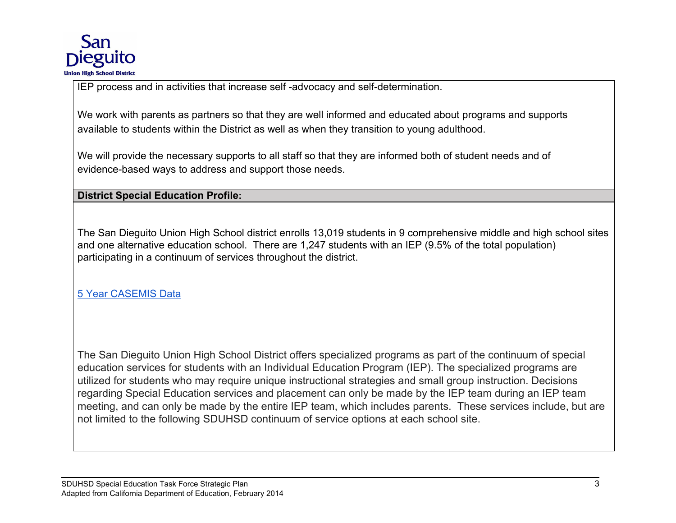

IEP process and in activities that increase self -advocacy and self-determination.

We work with parents as partners so that they are well informed and educated about programs and supports available to students within the District as well as when they transition to young adulthood.

We will provide the necessary supports to all staff so that they are informed both of student needs and of evidence-based ways to address and support those needs.

**District Special Education Profile:**

The San Dieguito Union High School district enrolls 13,019 students in 9 comprehensive middle and high school sites and one alternative education school. There are 1,247 students with an IEP (9.5% of the total population) participating in a continuum of services throughout the district.

[5 Year CASEMIS Data](https://drive.google.com/file/d/0B0cJAvdbs1taRlJKbTBOM0N1Q1E/view?usp=sharing)

The San Dieguito Union High School District offers specialized programs as part of the continuum of special education services for students with an Individual Education Program (IEP). The specialized programs are utilized for students who may require unique instructional strategies and small group instruction. Decisions regarding Special Education services and placement can only be made by the IEP team during an IEP team meeting, and can only be made by the entire IEP team, which includes parents. These services include, but are not limited to the following SDUHSD continuum of service options at each school site.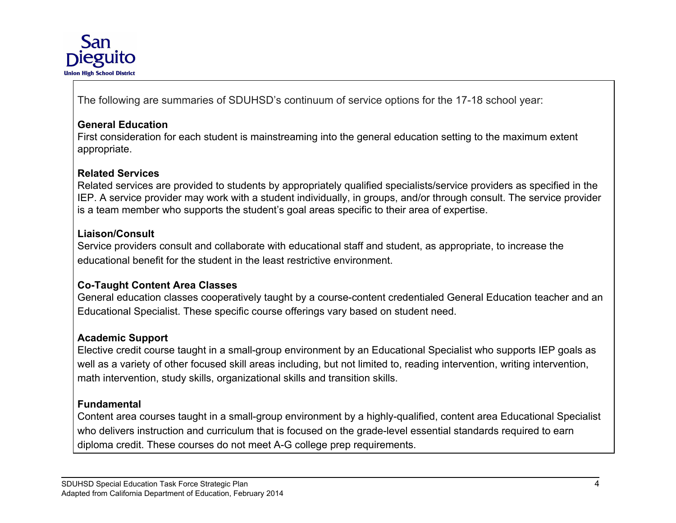

The following are summaries of SDUHSD's continuum of service options for the 17-18 school year:

## **General Education**

First consideration for each student is mainstreaming into the general education setting to the maximum extent appropriate.

## **Related Services**

Related services are provided to students by appropriately qualified specialists/service providers as specified in the IEP. A service provider may work with a student individually, in groups, and/or through consult. The service provider is a team member who supports the student's goal areas specific to their area of expertise.

#### **Liaison/Consult**

Service providers consult and collaborate with educational staff and student, as appropriate, to increase the educational benefit for the student in the least restrictive environment.

#### **Co-Taught Content Area Classes**

General education classes cooperatively taught by a course-content credentialed General Education teacher and an Educational Specialist. These specific course offerings vary based on student need.

#### **Academic Support**

Elective credit course taught in a small-group environment by an Educational Specialist who supports IEP goals as well as a variety of other focused skill areas including, but not limited to, reading intervention, writing intervention, math intervention, study skills, organizational skills and transition skills.

#### **Fundamental**

Content area courses taught in a small-group environment by a highly-qualified, content area Educational Specialist who delivers instruction and curriculum that is focused on the grade-level essential standards required to earn diploma credit. These courses do not meet A-G college prep requirements.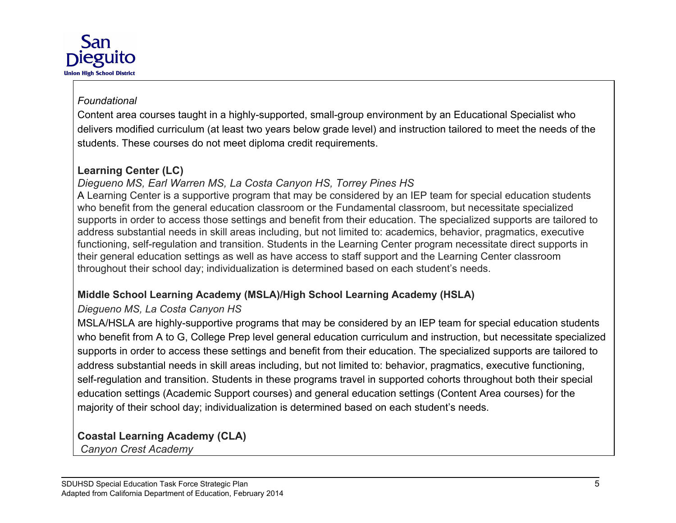

## *Foundational*

Content area courses taught in a highly-supported, small-group environment by an Educational Specialist who delivers modified curriculum (at least two years below grade level) and instruction tailored to meet the needs of the students. These courses do not meet diploma credit requirements.

# **Learning Center (LC)**

# *Diegueno MS, Earl Warren MS, La Costa Canyon HS, Torrey Pines HS*

A Learning Center is a supportive program that may be considered by an IEP team for special education students who benefit from the general education classroom or the Fundamental classroom, but necessitate specialized supports in order to access those settings and benefit from their education. The specialized supports are tailored to address substantial needs in skill areas including, but not limited to: academics, behavior, pragmatics, executive functioning, self-regulation and transition. Students in the Learning Center program necessitate direct supports in their general education settings as well as have access to staff support and the Learning Center classroom throughout their school day; individualization is determined based on each student's needs.

# **Middle School Learning Academy (MSLA)/High School Learning Academy (HSLA)**

# *Diegueno MS, La Costa Canyon HS*

MSLA/HSLA are highly-supportive programs that may be considered by an IEP team for special education students who benefit from A to G, College Prep level general education curriculum and instruction, but necessitate specialized supports in order to access these settings and benefit from their education. The specialized supports are tailored to address substantial needs in skill areas including, but not limited to: behavior, pragmatics, executive functioning, self-regulation and transition. Students in these programs travel in supported cohorts throughout both their special education settings (Academic Support courses) and general education settings (Content Area courses) for the majority of their school day; individualization is determined based on each student's needs.

**Coastal Learning Academy (CLA)**

*Canyon Crest Academy*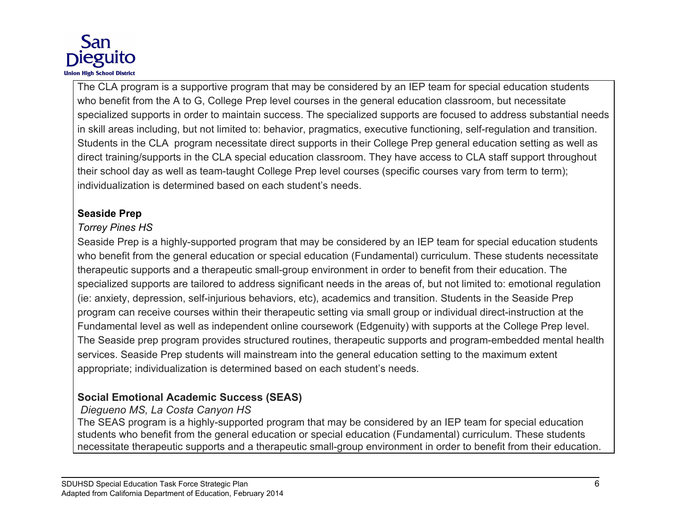

The CLA program is a supportive program that may be considered by an IEP team for special education students who benefit from the A to G, College Prep level courses in the general education classroom, but necessitate specialized supports in order to maintain success. The specialized supports are focused to address substantial needs in skill areas including, but not limited to: behavior, pragmatics, executive functioning, self-regulation and transition. Students in the CLA program necessitate direct supports in their College Prep general education setting as well as direct training/supports in the CLA special education classroom. They have access to CLA staff support throughout their school day as well as team-taught College Prep level courses (specific courses vary from term to term); individualization is determined based on each student's needs.

## **Seaside Prep**

# *Torrey Pines HS*

Seaside Prep is a highly-supported program that may be considered by an IEP team for special education students who benefit from the general education or special education (Fundamental) curriculum. These students necessitate therapeutic supports and a therapeutic small-group environment in order to benefit from their education. The specialized supports are tailored to address significant needs in the areas of, but not limited to: emotional regulation (ie: anxiety, depression, self-injurious behaviors, etc), academics and transition. Students in the Seaside Prep program can receive courses within their therapeutic setting via small group or individual direct-instruction at the Fundamental level as well as independent online coursework (Edgenuity) with supports at the College Prep level. The Seaside prep program provides structured routines, therapeutic supports and program-embedded mental health services. Seaside Prep students will mainstream into the general education setting to the maximum extent appropriate; individualization is determined based on each student's needs.

# **Social Emotional Academic Success (SEAS)**

# *Diegueno MS, La Costa Canyon HS*

The SEAS program is a highly-supported program that may be considered by an IEP team for special education students who benefit from the general education or special education (Fundamental) curriculum. These students necessitate therapeutic supports and a therapeutic small-group environment in order to benefit from their education.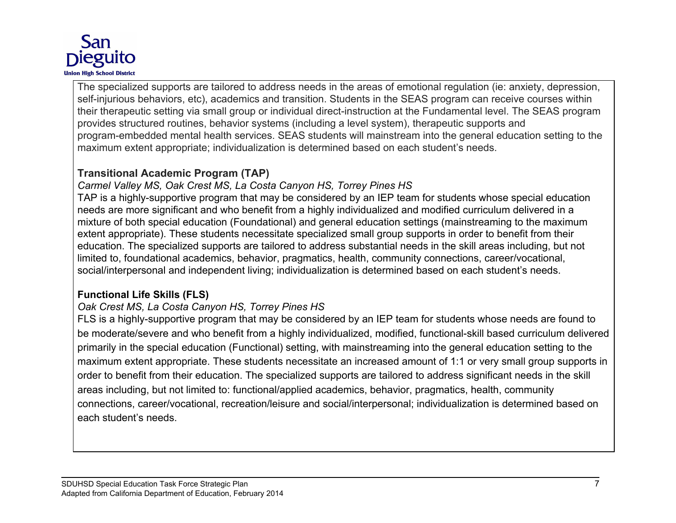

The specialized supports are tailored to address needs in the areas of emotional regulation (ie: anxiety, depression, self-injurious behaviors, etc), academics and transition. Students in the SEAS program can receive courses within their therapeutic setting via small group or individual direct-instruction at the Fundamental level. The SEAS program provides structured routines, behavior systems (including a level system), therapeutic supports and program-embedded mental health services. SEAS students will mainstream into the general education setting to the maximum extent appropriate; individualization is determined based on each student's needs.

## **Transitional Academic Program (TAP)**

## *Carmel Valley MS, Oak Crest MS, La Costa Canyon HS, Torrey Pines HS*

TAP is a highly-supportive program that may be considered by an IEP team for students whose special education needs are more significant and who benefit from a highly individualized and modified curriculum delivered in a mixture of both special education (Foundational) and general education settings (mainstreaming to the maximum extent appropriate). These students necessitate specialized small group supports in order to benefit from their education. The specialized supports are tailored to address substantial needs in the skill areas including, but not limited to, foundational academics, behavior, pragmatics, health, community connections, career/vocational, social/interpersonal and independent living; individualization is determined based on each student's needs.

# **Functional Life Skills (FLS)**

# *Oak Crest MS, La Costa Canyon HS, Torrey Pines HS*

FLS is a highly-supportive program that may be considered by an IEP team for students whose needs are found to be moderate/severe and who benefit from a highly individualized, modified, functional-skill based curriculum delivered primarily in the special education (Functional) setting, with mainstreaming into the general education setting to the maximum extent appropriate. These students necessitate an increased amount of 1:1 or very small group supports in order to benefit from their education. The specialized supports are tailored to address significant needs in the skill areas including, but not limited to: functional/applied academics, behavior, pragmatics, health, community connections, career/vocational, recreation/leisure and social/interpersonal; individualization is determined based on each student's needs.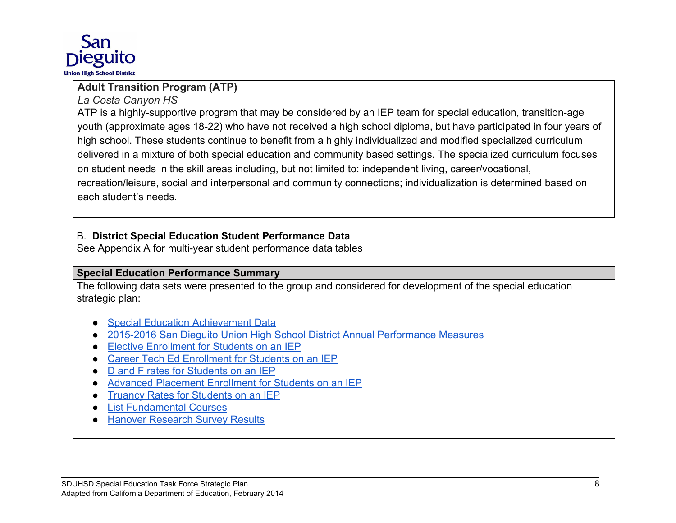

# **Adult Transition Program (ATP)**

*La Costa Canyon HS*

ATP is a highly-supportive program that may be considered by an IEP team for special education, transition-age youth (approximate ages 18-22) who have not received a high school diploma, but have participated in four years of high school. These students continue to benefit from a highly individualized and modified specialized curriculum delivered in a mixture of both special education and community based settings. The specialized curriculum focuses on student needs in the skill areas including, but not limited to: independent living, career/vocational, recreation/leisure, social and interpersonal and community connections; individualization is determined based on each student's needs.

## B. **District Special Education Student Performance Data**

See Appendix A for multi-year student performance data tables

## **Special Education Performance Summary**

The following data sets were presented to the group and considered for development of the special education strategic plan:

- **[Special Education Achievement Data](https://drive.google.com/file/d/19GfroXRPIg_Ir0zOmAjhp55tFPPSO-vG/view?usp=sharing)**
- [2015-2016 San Dieguito Union High School District Annual Performance Measures](https://drive.google.com/file/d/0B0cJAvdbs1tadG9jRnlqSS1ZTEE/view?usp=sharing)
- [Elective Enrollment for Students on an IEP](https://drive.google.com/file/d/1vvF0UaRDwtWFRd-cPCGk3wE1l1hCJ_IB/view?usp=sharing)
- [Career Tech Ed Enrollment for Students on an IEP](https://drive.google.com/file/d/1o3T0i5c9K_eocQN6bfp1jeef7Zt-gbdR/view?usp=sharing)
- [D and F rates for Students on an IEP](https://drive.google.com/file/d/1CjempxpuMZiNBaUs2QbeYgzvKX2FJiZK/view?usp=sharing)
- [Advanced Placement Enrollment for Students on an IEP](https://drive.google.com/file/d/1n0nH-n8XVvh2RzcDhDCGf8z5oLnqyOCL/view?usp=sharing)
- [Truancy Rates for Students on an IEP](https://drive.google.com/file/d/1L3vFUC4kf22Mcmtlh9mscCk0YcONcx5i/view?usp=sharing)
- [List Fundamental Courses](https://drive.google.com/file/d/1S4HKQ8ycBB6UBm3EKWF60cjcPW-HOHyF/view?usp=sharing)
- **[Hanover Research Survey Results](https://drive.google.com/file/d/0B0cJAvdbs1tad3EtWGRwclNmT0V6NGFrRjhqZ2V5SERlX1FJ/view?usp=sharing)**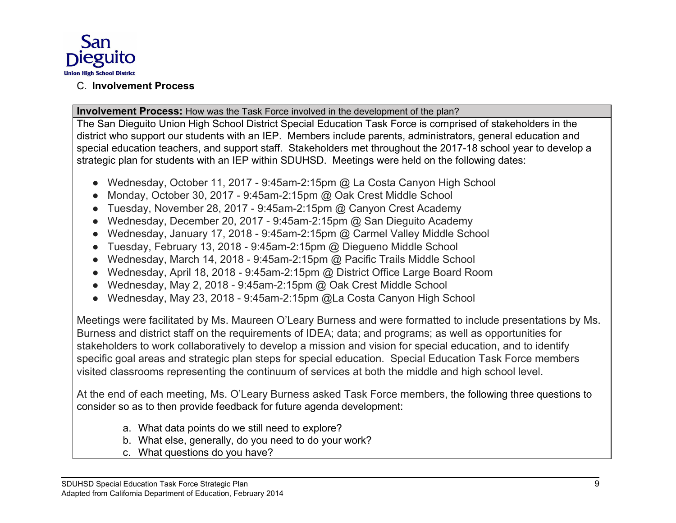

## C. **Involvement Process**

## **Involvement Process:** How was the Task Force involved in the development of the plan?

The San Dieguito Union High School District Special Education Task Force is comprised of stakeholders in the district who support our students with an IEP. Members include parents, administrators, general education and special education teachers, and support staff. Stakeholders met throughout the 2017-18 school year to develop a strategic plan for students with an IEP within SDUHSD. Meetings were held on the following dates:

- Wednesday, October 11, 2017 9:45am-2:15pm @ La Costa Canyon High School
- Monday, October 30, 2017 9:45am-2:15pm @ Oak Crest Middle School
- Tuesday, November 28, 2017 9:45am-2:15pm @ Canyon Crest Academy
- Wednesday, December 20, 2017 9:45am-2:15pm @ San Dieguito Academy
- Wednesday, January 17, 2018 9:45am-2:15pm @ Carmel Valley Middle School
- Tuesday, February 13, 2018 9:45am-2:15pm @ Diegueno Middle School
- Wednesday, March 14, 2018 9:45am-2:15pm @ Pacific Trails Middle School
- Wednesday, April 18, 2018 9:45am-2:15pm @ District Office Large Board Room
- Wednesday, May 2, 2018 9:45am-2:15pm @ Oak Crest Middle School
- Wednesday, May 23, 2018 9:45am-2:15pm @La Costa Canyon High School

Meetings were facilitated by Ms. Maureen O'Leary Burness and were formatted to include presentations by Ms. Burness and district staff on the requirements of IDEA; data; and programs; as well as opportunities for stakeholders to work collaboratively to develop a mission and vision for special education, and to identify specific goal areas and strategic plan steps for special education. Special Education Task Force members visited classrooms representing the continuum of services at both the middle and high school level.

At the end of each meeting, Ms. O'Leary Burness asked Task Force members, the following three questions to consider so as to then provide feedback for future agenda development:

- a. What data points do we still need to explore?
- b. What else, generally, do you need to do your work?
- c. What questions do you have?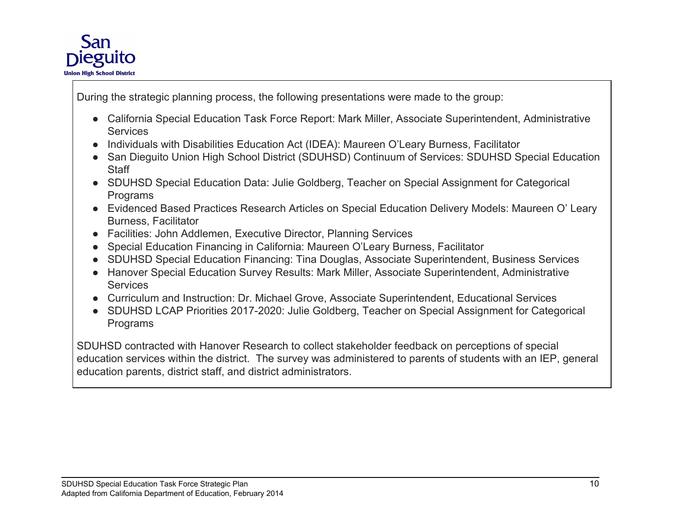

During the strategic planning process, the following presentations were made to the group:

- California Special Education Task Force Report: Mark Miller, Associate Superintendent, Administrative **Services**
- Individuals with Disabilities Education Act (IDEA): Maureen O'Leary Burness, Facilitator
- San Dieguito Union High School District (SDUHSD) Continuum of Services: SDUHSD Special Education **Staff**
- SDUHSD Special Education Data: Julie Goldberg, Teacher on Special Assignment for Categorical Programs
- Evidenced Based Practices Research Articles on Special Education Delivery Models: Maureen O' Leary Burness, Facilitator
- Facilities: John Addlemen, Executive Director, Planning Services
- Special Education Financing in California: Maureen O'Leary Burness, Facilitator
- SDUHSD Special Education Financing: Tina Douglas, Associate Superintendent, Business Services
- Hanover Special Education Survey Results: Mark Miller, Associate Superintendent, Administrative **Services**
- Curriculum and Instruction: Dr. Michael Grove, Associate Superintendent, Educational Services
- SDUHSD LCAP Priorities 2017-2020: Julie Goldberg, Teacher on Special Assignment for Categorical Programs

SDUHSD contracted with Hanover Research to collect stakeholder feedback on perceptions of special education services within the district. The survey was administered to parents of students with an IEP, general education parents, district staff, and district administrators.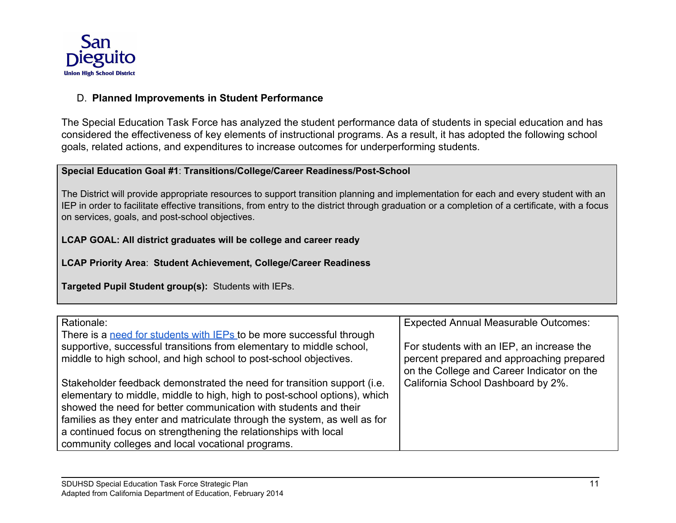

### D. **Planned Improvements in Student Performance**

The Special Education Task Force has analyzed the student performance data of students in special education and has considered the effectiveness of key elements of instructional programs. As a result, it has adopted the following school goals, related actions, and expenditures to increase outcomes for underperforming students.

#### **Special Education Goal #1**: **Transitions/College/Career Readiness/Post-School**

The District will provide appropriate resources to support transition planning and implementation for each and every student with an IEP in order to facilitate effective transitions, from entry to the district through graduation or a completion of a certificate, with a focus on services, goals, and post-school objectives.

## **LCAP GOAL: All district graduates will be college and career ready**

**LCAP Priority Area**: **Student Achievement, College/Career Readiness**

**Targeted Pupil Student group(s):** Students with IEPs.

| Rationale:                                                                | <b>Expected Annual Measurable Outcomes:</b>                                             |
|---------------------------------------------------------------------------|-----------------------------------------------------------------------------------------|
| There is a need for students with IEPs to be more successful through      |                                                                                         |
| supportive, successful transitions from elementary to middle school,      | For students with an IEP, an increase the                                               |
| middle to high school, and high school to post-school objectives.         | percent prepared and approaching prepared<br>on the College and Career Indicator on the |
| Stakeholder feedback demonstrated the need for transition support (i.e.   | California School Dashboard by 2%.                                                      |
| elementary to middle, middle to high, high to post-school options), which |                                                                                         |
| showed the need for better communication with students and their          |                                                                                         |
| families as they enter and matriculate through the system, as well as for |                                                                                         |
| a continued focus on strengthening the relationships with local           |                                                                                         |
| community colleges and local vocational programs.                         |                                                                                         |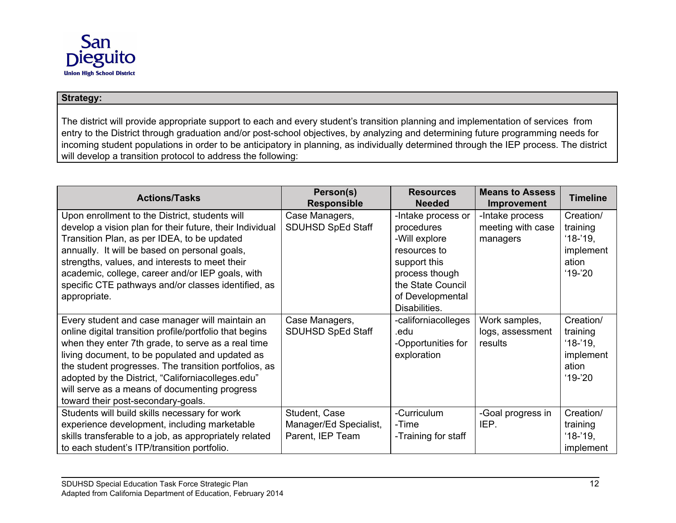

#### **Strategy:**

The district will provide appropriate support to each and every student's transition planning and implementation of services from entry to the District through graduation and/or post-school objectives, by *a*nalyzing and determining future programming needs for incoming student populations in order to be anticipatory in planning, as individually determined through the IEP process. The district will develop a transition protocol to address the following:

| <b>Actions/Tasks</b>                                     | Person(s)                | <b>Resources</b>    | <b>Means to Assess</b> | <b>Timeline</b> |
|----------------------------------------------------------|--------------------------|---------------------|------------------------|-----------------|
|                                                          | <b>Responsible</b>       | <b>Needed</b>       | <b>Improvement</b>     |                 |
| Upon enrollment to the District, students will           | Case Managers,           | -Intake process or  | -Intake process        | Creation/       |
| develop a vision plan for their future, their Individual | <b>SDUHSD SpEd Staff</b> | procedures          | meeting with case      | training        |
| Transition Plan, as per IDEA, to be updated              |                          | -Will explore       | managers               | $18-19$ ,       |
| annually. It will be based on personal goals,            |                          | resources to        |                        | implement       |
| strengths, values, and interests to meet their           |                          | support this        |                        | ation           |
| academic, college, career and/or IEP goals, with         |                          | process though      |                        | $'19-'20$       |
| specific CTE pathways and/or classes identified, as      |                          | the State Council   |                        |                 |
| appropriate.                                             |                          | of Developmental    |                        |                 |
|                                                          |                          | Disabilities.       |                        |                 |
| Every student and case manager will maintain an          | Case Managers,           | -californiacolleges | Work samples,          | Creation/       |
| online digital transition profile/portfolio that begins  | SDUHSD SpEd Staff        | .edu                | logs, assessment       | training        |
| when they enter 7th grade, to serve as a real time       |                          | -Opportunities for  | results                | $18-19$ ,       |
| living document, to be populated and updated as          |                          | exploration         |                        | implement       |
| the student progresses. The transition portfolios, as    |                          |                     |                        | ation           |
| adopted by the District, "Californiacolleges.edu"        |                          |                     |                        | $'19-'20$       |
| will serve as a means of documenting progress            |                          |                     |                        |                 |
| toward their post-secondary-goals.                       |                          |                     |                        |                 |
| Students will build skills necessary for work            | Student, Case            | -Curriculum         | -Goal progress in      | Creation/       |
| experience development, including marketable             | Manager/Ed Specialist,   | -Time               | IEP.                   | training        |
| skills transferable to a job, as appropriately related   | Parent, IEP Team         | -Training for staff |                        | $'18-'19$ ,     |
| to each student's ITP/transition portfolio.              |                          |                     |                        | implement       |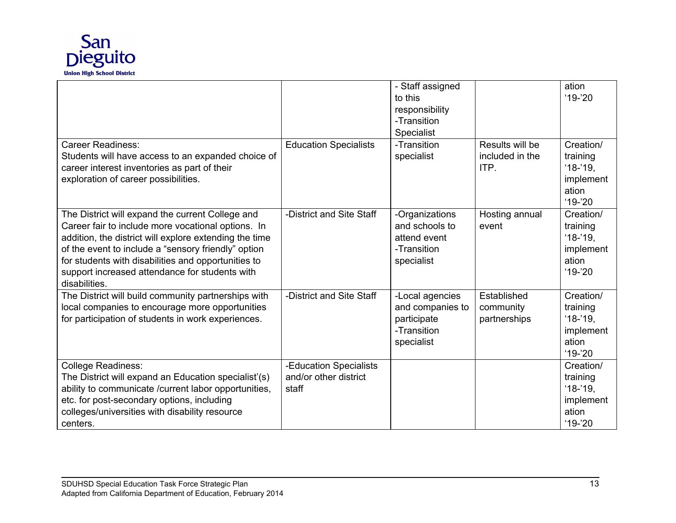

|                                                                                                                                                                                                                                                                                                                                                   |                                                          | - Staff assigned<br>to this<br>responsibility<br>-Transition<br>Specialist      |                                            | ation<br>$19 - 20$                                                      |
|---------------------------------------------------------------------------------------------------------------------------------------------------------------------------------------------------------------------------------------------------------------------------------------------------------------------------------------------------|----------------------------------------------------------|---------------------------------------------------------------------------------|--------------------------------------------|-------------------------------------------------------------------------|
| <b>Career Readiness:</b><br>Students will have access to an expanded choice of<br>career interest inventories as part of their<br>exploration of career possibilities.                                                                                                                                                                            | <b>Education Specialists</b>                             | -Transition<br>specialist                                                       | Results will be<br>included in the<br>ITP. | Creation/<br>training<br>$'18-'19,$<br>implement<br>ation<br>$'19-'20$  |
| The District will expand the current College and<br>Career fair to include more vocational options. In<br>addition, the district will explore extending the time<br>of the event to include a "sensory friendly" option<br>for students with disabilities and opportunities to<br>support increased attendance for students with<br>disabilities. | -District and Site Staff                                 | -Organizations<br>and schools to<br>attend event<br>-Transition<br>specialist   | Hosting annual<br>event                    | Creation/<br>training<br>$'18-'19,$<br>implement<br>ation<br>$19 - 20$  |
| The District will build community partnerships with<br>local companies to encourage more opportunities<br>for participation of students in work experiences.                                                                                                                                                                                      | -District and Site Staff                                 | -Local agencies<br>and companies to<br>participate<br>-Transition<br>specialist | Established<br>community<br>partnerships   | Creation/<br>training<br>$'18-'19,$<br>implement<br>ation<br>$19 - 20$  |
| <b>College Readiness:</b><br>The District will expand an Education specialist'(s)<br>ability to communicate /current labor opportunities,<br>etc. for post-secondary options, including<br>colleges/universities with disability resource<br>centers.                                                                                             | -Education Specialists<br>and/or other district<br>staff |                                                                                 |                                            | Creation/<br>training<br>$'18-'19$ ,<br>implement<br>ation<br>$'19-'20$ |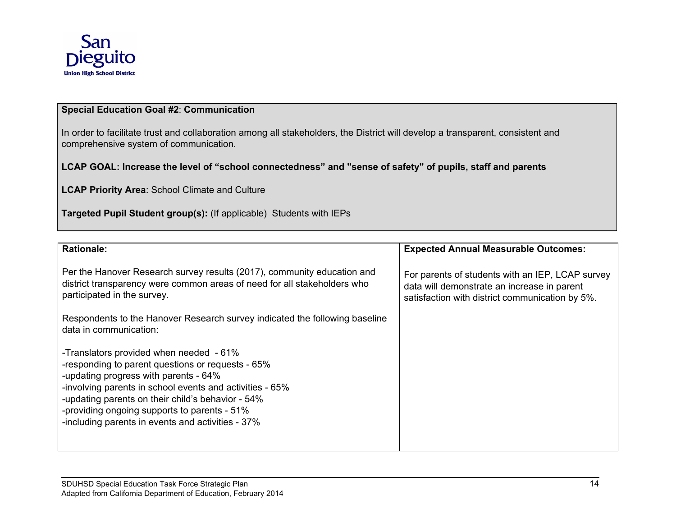

#### **Special Education Goal #2**: **Communication**

In order to facilitate trust and collaboration among all stakeholders, the District will develop a transparent, consistent and comprehensive system of communication.

#### LCAP GOAL: Increase the level of "school connectedness" and "sense of safety" of pupils, staff and parents

**LCAP Priority Area**: School Climate and Culture

**Targeted Pupil Student group(s):** (If applicable) Students with IEPs

| <b>Rationale:</b>                                                                                                                                                                                                                                                                                                                                           | <b>Expected Annual Measurable Outcomes:</b>                                                                                                        |
|-------------------------------------------------------------------------------------------------------------------------------------------------------------------------------------------------------------------------------------------------------------------------------------------------------------------------------------------------------------|----------------------------------------------------------------------------------------------------------------------------------------------------|
| Per the Hanover Research survey results (2017), community education and<br>district transparency were common areas of need for all stakeholders who<br>participated in the survey.                                                                                                                                                                          | For parents of students with an IEP, LCAP survey<br>data will demonstrate an increase in parent<br>satisfaction with district communication by 5%. |
| Respondents to the Hanover Research survey indicated the following baseline<br>data in communication:                                                                                                                                                                                                                                                       |                                                                                                                                                    |
| -Translators provided when needed - 61%<br>-responding to parent questions or requests - 65%<br>-updating progress with parents - 64%<br>-involving parents in school events and activities - 65%<br>-updating parents on their child's behavior - 54%<br>-providing ongoing supports to parents - 51%<br>-including parents in events and activities - 37% |                                                                                                                                                    |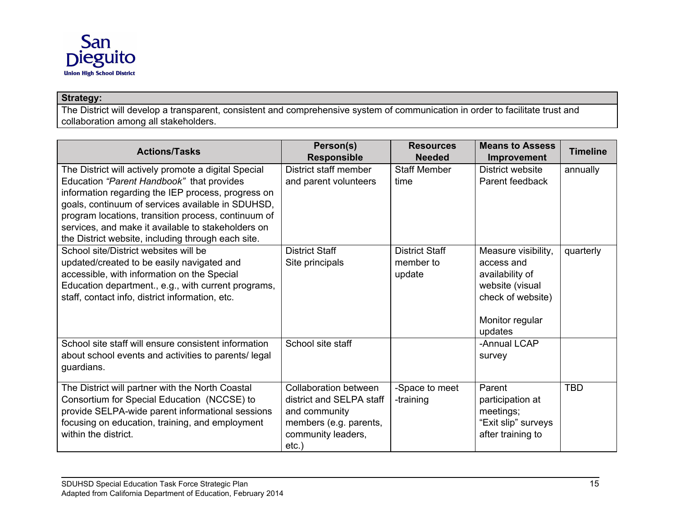

### **Strategy:**

The District will develop a transparent, consistent and comprehensive system of communication in order to facilitate trust and collaboration among all stakeholders.

| <b>Actions/Tasks</b>                                                                                                                                                                                                                                                                                                                                                            | Person(s)<br><b>Responsible</b>                                                                                                | <b>Resources</b><br><b>Needed</b>            | <b>Means to Assess</b><br>Improvement                                                                                      | <b>Timeline</b> |
|---------------------------------------------------------------------------------------------------------------------------------------------------------------------------------------------------------------------------------------------------------------------------------------------------------------------------------------------------------------------------------|--------------------------------------------------------------------------------------------------------------------------------|----------------------------------------------|----------------------------------------------------------------------------------------------------------------------------|-----------------|
| The District will actively promote a digital Special<br>Education "Parent Handbook" that provides<br>information regarding the IEP process, progress on<br>goals, continuum of services available in SDUHSD,<br>program locations, transition process, continuum of<br>services, and make it available to stakeholders on<br>the District website, including through each site. | District staff member<br>and parent volunteers                                                                                 | <b>Staff Member</b><br>time                  | District website<br>Parent feedback                                                                                        | annually        |
| School site/District websites will be<br>updated/created to be easily navigated and<br>accessible, with information on the Special<br>Education department., e.g., with current programs,<br>staff, contact info, district information, etc.                                                                                                                                    | <b>District Staff</b><br>Site principals                                                                                       | <b>District Staff</b><br>member to<br>update | Measure visibility,<br>access and<br>availability of<br>website (visual<br>check of website)<br>Monitor regular<br>updates | quarterly       |
| School site staff will ensure consistent information<br>about school events and activities to parents/legal<br>guardians.                                                                                                                                                                                                                                                       | School site staff                                                                                                              |                                              | -Annual LCAP<br>survey                                                                                                     |                 |
| The District will partner with the North Coastal<br>Consortium for Special Education (NCCSE) to<br>provide SELPA-wide parent informational sessions<br>focusing on education, training, and employment<br>within the district.                                                                                                                                                  | Collaboration between<br>district and SELPA staff<br>and community<br>members (e.g. parents,<br>community leaders,<br>$etc.$ ) | -Space to meet<br>-training                  | Parent<br>participation at<br>meetings;<br>"Exit slip" surveys<br>after training to                                        | <b>TBD</b>      |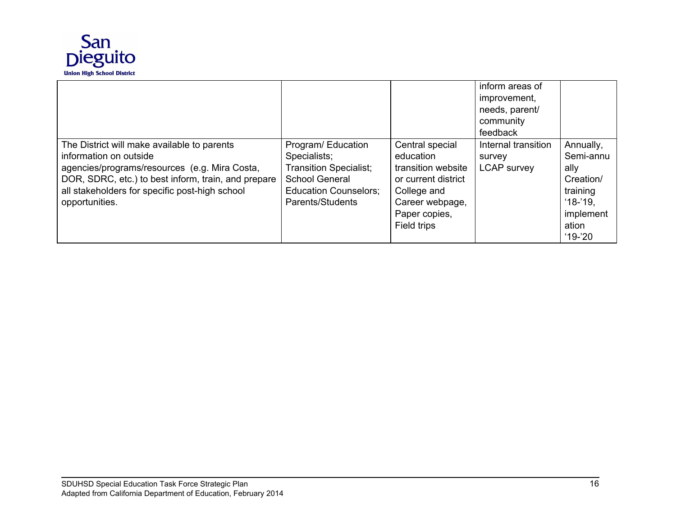

|                                                                                                                                                                                                                                                   |                                                                                                                                                 |                                                                                                                                             | inform areas of<br>improvement,<br>needs, parent/<br>community<br>feedback |                                                                                                         |
|---------------------------------------------------------------------------------------------------------------------------------------------------------------------------------------------------------------------------------------------------|-------------------------------------------------------------------------------------------------------------------------------------------------|---------------------------------------------------------------------------------------------------------------------------------------------|----------------------------------------------------------------------------|---------------------------------------------------------------------------------------------------------|
| The District will make available to parents<br>information on outside<br>agencies/programs/resources (e.g. Mira Costa,<br>DOR, SDRC, etc.) to best inform, train, and prepare<br>all stakeholders for specific post-high school<br>opportunities. | Program/Education<br>Specialists;<br><b>Transition Specialist;</b><br><b>School General</b><br><b>Education Counselors:</b><br>Parents/Students | Central special<br>education<br>transition website<br>or current district<br>College and<br>Career webpage,<br>Paper copies,<br>Field trips | Internal transition<br>survey<br><b>LCAP</b> survey                        | Annually,<br>Semi-annu<br>ally<br>Creation/<br>training<br>$18 - 19$ .<br>implement<br>ation<br>$19-20$ |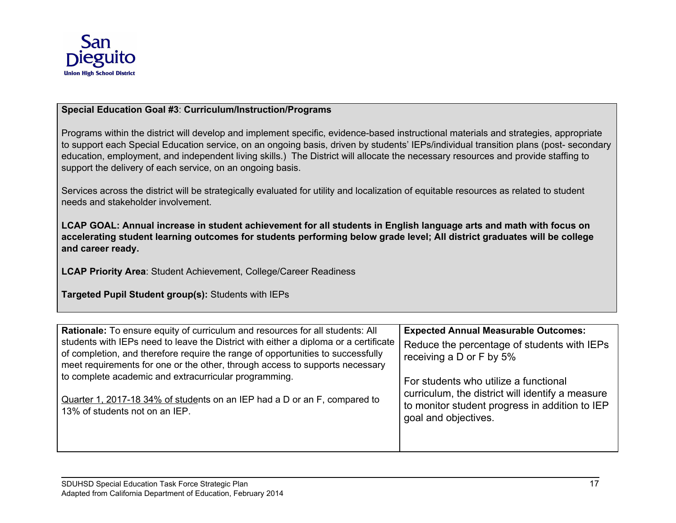

#### **Special Education Goal #3**: **Curriculum/Instruction/Programs**

Programs within the district will develop and implement specific, evidence-based instructional materials and strategies, appropriate to support each Special Education service, on an ongoing basis, driven by students' IEPs/individual transition plans (post- secondary education, employment, and independent living skills.) The District will allocate the necessary resources and provide staffing to support the delivery of each service, on an ongoing basis.

Services across the district will be strategically evaluated for utility and localization of equitable resources as related to student needs and stakeholder involvement.

LCAP GOAL: Annual increase in student achievement for all students in English language arts and math with focus on accelerating student learning outcomes for students performing below grade level; All district graduates will be college **and career ready.**

**LCAP Priority Area**: Student Achievement, College/Career Readiness

**Targeted Pupil Student group(s):** Students with IEPs

| Rationale: To ensure equity of curriculum and resources for all students: All                                                                                                                                                                           | <b>Expected Annual Measurable Outcomes:</b>                                                                                                                         |
|---------------------------------------------------------------------------------------------------------------------------------------------------------------------------------------------------------------------------------------------------------|---------------------------------------------------------------------------------------------------------------------------------------------------------------------|
| students with IEPs need to leave the District with either a diploma or a certificate<br>of completion, and therefore require the range of opportunities to successfully<br>meet requirements for one or the other, through access to supports necessary | Reduce the percentage of students with IEPs<br>receiving a D or F by 5%                                                                                             |
| to complete academic and extracurricular programming.<br>Quarter 1, 2017-18 34% of students on an IEP had a D or an F, compared to<br>13% of students not on an IEP.                                                                                    | For students who utilize a functional<br>curriculum, the district will identify a measure<br>to monitor student progress in addition to IEP<br>goal and objectives. |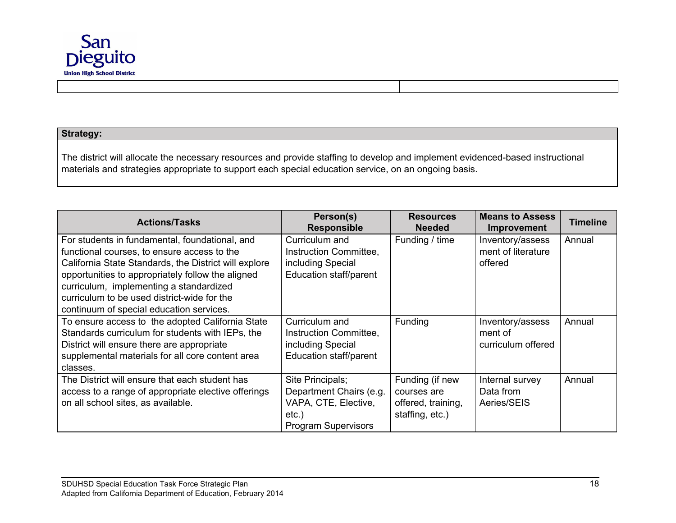

#### **Strategy:**

The district will allocate the necessary resources and provide staffing to develop and implement evidenced-based instructional materials and strategies appropriate to support each special education service, on an ongoing basis.

| <b>Actions/Tasks</b>                                                                                                                                                                                                                                                                                                                              | Person(s)<br><b>Responsible</b>                                                                               | <b>Resources</b><br><b>Needed</b>                                       | <b>Means to Assess</b><br><b>Improvement</b>      | <b>Timeline</b> |
|---------------------------------------------------------------------------------------------------------------------------------------------------------------------------------------------------------------------------------------------------------------------------------------------------------------------------------------------------|---------------------------------------------------------------------------------------------------------------|-------------------------------------------------------------------------|---------------------------------------------------|-----------------|
| For students in fundamental, foundational, and<br>functional courses, to ensure access to the<br>California State Standards, the District will explore<br>opportunities to appropriately follow the aligned<br>curriculum, implementing a standardized<br>curriculum to be used district-wide for the<br>continuum of special education services. | Curriculum and<br>Instruction Committee,<br>including Special<br>Education staff/parent                       | Funding / time                                                          | Inventory/assess<br>ment of literature<br>offered | Annual          |
| To ensure access to the adopted California State<br>Standards curriculum for students with IEPs, the<br>District will ensure there are appropriate<br>supplemental materials for all core content area<br>classes.                                                                                                                                | Curriculum and<br>Instruction Committee,<br>including Special<br>Education staff/parent                       | Funding                                                                 | Inventory/assess<br>ment of<br>curriculum offered | Annual          |
| The District will ensure that each student has<br>access to a range of appropriate elective offerings<br>on all school sites, as available.                                                                                                                                                                                                       | Site Principals;<br>Department Chairs (e.g.<br>VAPA, CTE, Elective,<br>$etc.$ )<br><b>Program Supervisors</b> | Funding (if new<br>courses are<br>offered, training,<br>staffing, etc.) | Internal survey<br>Data from<br>Aeries/SEIS       | Annual          |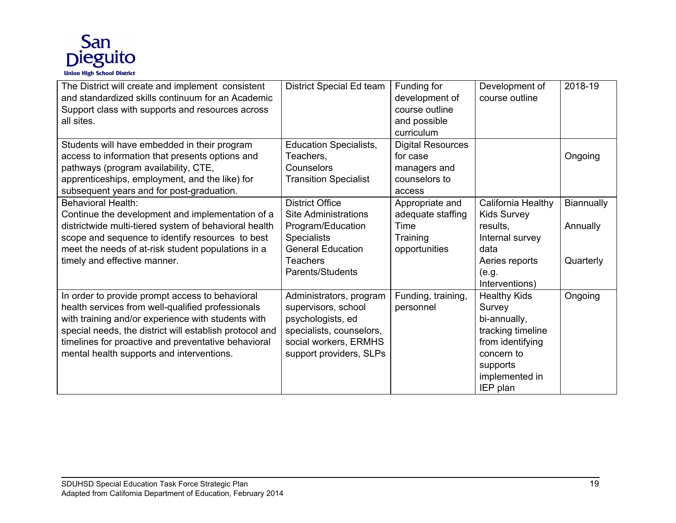

| The District will create and implement consistent<br>and standardized skills continuum for an Academic<br>Support class with supports and resources across<br>all sites.                                                                                                                                                  | District Special Ed team                                                                                                                                            | Funding for<br>development of<br>course outline<br>and possible<br>curriculum   | Development of<br>course outline                                                                                                               | 2018-19                             |
|---------------------------------------------------------------------------------------------------------------------------------------------------------------------------------------------------------------------------------------------------------------------------------------------------------------------------|---------------------------------------------------------------------------------------------------------------------------------------------------------------------|---------------------------------------------------------------------------------|------------------------------------------------------------------------------------------------------------------------------------------------|-------------------------------------|
| Students will have embedded in their program<br>access to information that presents options and<br>pathways (program availability, CTE,<br>apprenticeships, employment, and the like) for<br>subsequent years and for post-graduation.                                                                                    | <b>Education Specialists,</b><br>Teachers,<br>Counselors<br><b>Transition Specialist</b>                                                                            | <b>Digital Resources</b><br>for case<br>managers and<br>counselors to<br>access |                                                                                                                                                | Ongoing                             |
| <b>Behavioral Health:</b><br>Continue the development and implementation of a<br>districtwide multi-tiered system of behavioral health<br>scope and sequence to identify resources to best<br>meet the needs of at-risk student populations in a<br>timely and effective manner.                                          | <b>District Office</b><br><b>Site Administrations</b><br>Program/Education<br><b>Specialists</b><br><b>General Education</b><br><b>Teachers</b><br>Parents/Students | Appropriate and<br>adequate staffing<br>Time<br>Training<br>opportunities       | California Healthy<br><b>Kids Survey</b><br>results,<br>Internal survey<br>data<br>Aeries reports<br>(e.g.<br>Interventions)                   | Biannually<br>Annually<br>Quarterly |
| In order to provide prompt access to behavioral<br>health services from well-qualified professionals<br>with training and/or experience with students with<br>special needs, the district will establish protocol and<br>timelines for proactive and preventative behavioral<br>mental health supports and interventions. | Administrators, program<br>supervisors, school<br>psychologists, ed<br>specialists, counselors,<br>social workers, ERMHS<br>support providers, SLPs                 | Funding, training,<br>personnel                                                 | <b>Healthy Kids</b><br>Survey<br>bi-annually,<br>tracking timeline<br>from identifying<br>concern to<br>supports<br>implemented in<br>IEP plan | Ongoing                             |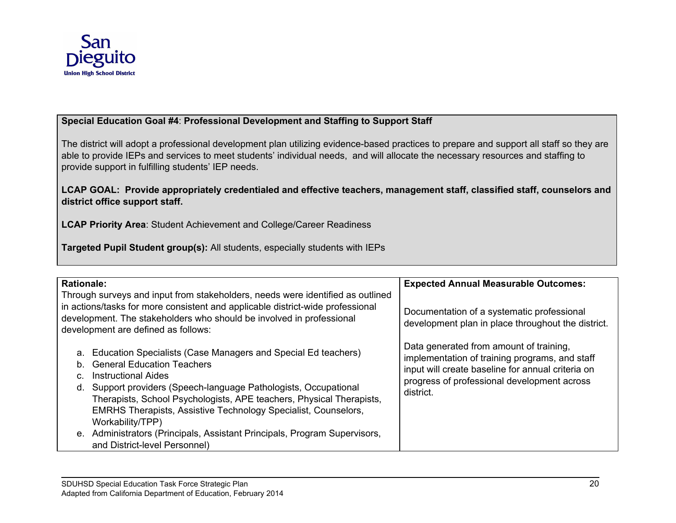

#### **Special Education Goal #4**: **Professional Development and Staffing to Support Staff**

The district will adopt a professional development plan utilizing evidence-based practices to prepare and support all staff so they are able to provide IEPs and services to meet students' individual needs, and will allocate the necessary resources and staffing to provide support in fulfilling students' IEP needs.

#### **LCAP GOAL: Provide appropriately credentialed and effective teachers, management staff, classified staff, counselors and district office support staff.**

**LCAP Priority Area**: Student Achievement and College/Career Readiness

**Targeted Pupil Student group(s):** All students, especially students with IEPs

| <b>Rationale:</b><br>in actions/tasks for more consistent and applicable district-wide professional                                                                                                                     | Through surveys and input from stakeholders, needs were identified as outlined                                                                | <b>Expected Annual Measurable Outcomes:</b>                                                                                                                                                                |
|-------------------------------------------------------------------------------------------------------------------------------------------------------------------------------------------------------------------------|-----------------------------------------------------------------------------------------------------------------------------------------------|------------------------------------------------------------------------------------------------------------------------------------------------------------------------------------------------------------|
| development. The stakeholders who should be involved in professional<br>development are defined as follows:                                                                                                             |                                                                                                                                               | Documentation of a systematic professional<br>development plan in place throughout the district.                                                                                                           |
| a. Education Specialists (Case Managers and Special Ed teachers)<br>b. General Education Teachers<br><b>Instructional Aides</b><br>d. Support providers (Speech-language Pathologists, Occupational<br>Workability/TPP) | Therapists, School Psychologists, APE teachers, Physical Therapists,<br><b>EMRHS Therapists, Assistive Technology Specialist, Counselors,</b> | Data generated from amount of training,<br>implementation of training programs, and staff<br>input will create baseline for annual criteria on<br>progress of professional development across<br>district. |
| and District-level Personnel)                                                                                                                                                                                           | e. Administrators (Principals, Assistant Principals, Program Supervisors,                                                                     |                                                                                                                                                                                                            |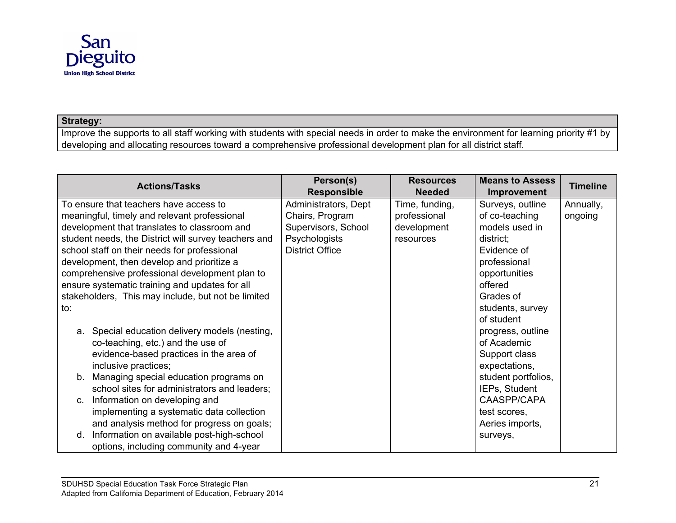

#### **Strategy:**

Improve the supports to all staff working with students with special needs in order to make the environment for learning priority #1 by developing and allocating resources toward a comprehensive professional development plan for all district staff.

| <b>Actions/Tasks</b>                                 | Person(s)<br><b>Responsible</b> | <b>Resources</b><br><b>Needed</b> | <b>Means to Assess</b><br>Improvement | <b>Timeline</b> |
|------------------------------------------------------|---------------------------------|-----------------------------------|---------------------------------------|-----------------|
| To ensure that teachers have access to               | Administrators, Dept            | Time, funding,                    | Surveys, outline                      | Annually,       |
| meaningful, timely and relevant professional         | Chairs, Program                 | professional                      | of co-teaching                        | ongoing         |
| development that translates to classroom and         | Supervisors, School             | development                       | models used in                        |                 |
| student needs, the District will survey teachers and | Psychologists                   | resources                         | district;                             |                 |
| school staff on their needs for professional         | <b>District Office</b>          |                                   | Evidence of                           |                 |
| development, then develop and prioritize a           |                                 |                                   | professional                          |                 |
| comprehensive professional development plan to       |                                 |                                   | opportunities                         |                 |
| ensure systematic training and updates for all       |                                 |                                   | offered                               |                 |
| stakeholders, This may include, but not be limited   |                                 |                                   | Grades of                             |                 |
| to:                                                  |                                 |                                   | students, survey                      |                 |
|                                                      |                                 |                                   | of student                            |                 |
| Special education delivery models (nesting,<br>а.    |                                 |                                   | progress, outline                     |                 |
| co-teaching, etc.) and the use of                    |                                 |                                   | of Academic                           |                 |
| evidence-based practices in the area of              |                                 |                                   | Support class                         |                 |
| inclusive practices;                                 |                                 |                                   | expectations,                         |                 |
| Managing special education programs on<br>b.         |                                 |                                   | student portfolios,                   |                 |
| school sites for administrators and leaders;         |                                 |                                   | IEPs, Student                         |                 |
| Information on developing and<br>$C_{1}$             |                                 |                                   | CAASPP/CAPA                           |                 |
| implementing a systematic data collection            |                                 |                                   | test scores,                          |                 |
| and analysis method for progress on goals;           |                                 |                                   | Aeries imports,                       |                 |
| Information on available post-high-school<br>d.      |                                 |                                   | surveys,                              |                 |
| options, including community and 4-year              |                                 |                                   |                                       |                 |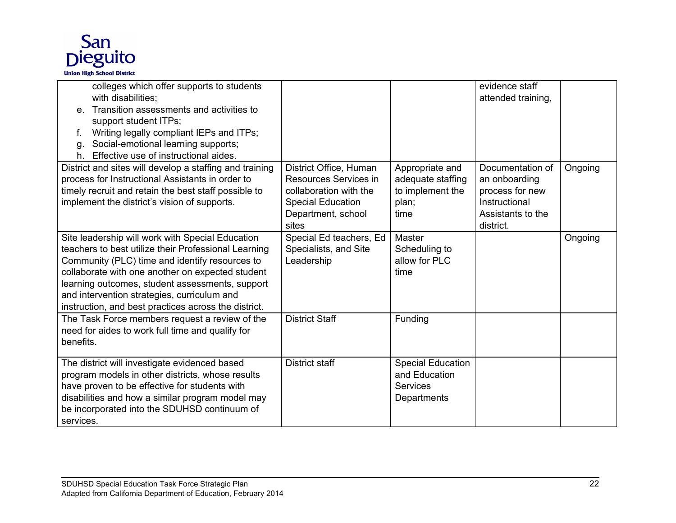

| colleges which offer supports to students<br>with disabilities;<br>Transition assessments and activities to<br>support student ITPs;<br>Writing legally compliant IEPs and ITPs;<br>f.<br>Social-emotional learning supports;<br>g.<br>Effective use of instructional aides.<br>h.                                                                                       |                                                                                                                                      |                                                                             | evidence staff<br>attended training,                                                                    |         |
|--------------------------------------------------------------------------------------------------------------------------------------------------------------------------------------------------------------------------------------------------------------------------------------------------------------------------------------------------------------------------|--------------------------------------------------------------------------------------------------------------------------------------|-----------------------------------------------------------------------------|---------------------------------------------------------------------------------------------------------|---------|
| District and sites will develop a staffing and training<br>process for Instructional Assistants in order to<br>timely recruit and retain the best staff possible to<br>implement the district's vision of supports.                                                                                                                                                      | District Office, Human<br>Resources Services in<br>collaboration with the<br><b>Special Education</b><br>Department, school<br>sites | Appropriate and<br>adequate staffing<br>to implement the<br>plan;<br>time   | Documentation of<br>an onboarding<br>process for new<br>Instructional<br>Assistants to the<br>district. | Ongoing |
| Site leadership will work with Special Education<br>teachers to best utilize their Professional Learning<br>Community (PLC) time and identify resources to<br>collaborate with one another on expected student<br>learning outcomes, student assessments, support<br>and intervention strategies, curriculum and<br>instruction, and best practices across the district. | Special Ed teachers, Ed<br>Specialists, and Site<br>Leadership                                                                       | Master<br>Scheduling to<br>allow for PLC<br>time                            |                                                                                                         | Ongoing |
| The Task Force members request a review of the<br>need for aides to work full time and qualify for<br>benefits.                                                                                                                                                                                                                                                          | <b>District Staff</b>                                                                                                                | Funding                                                                     |                                                                                                         |         |
| The district will investigate evidenced based<br>program models in other districts, whose results<br>have proven to be effective for students with<br>disabilities and how a similar program model may<br>be incorporated into the SDUHSD continuum of<br>services.                                                                                                      | <b>District staff</b>                                                                                                                | <b>Special Education</b><br>and Education<br><b>Services</b><br>Departments |                                                                                                         |         |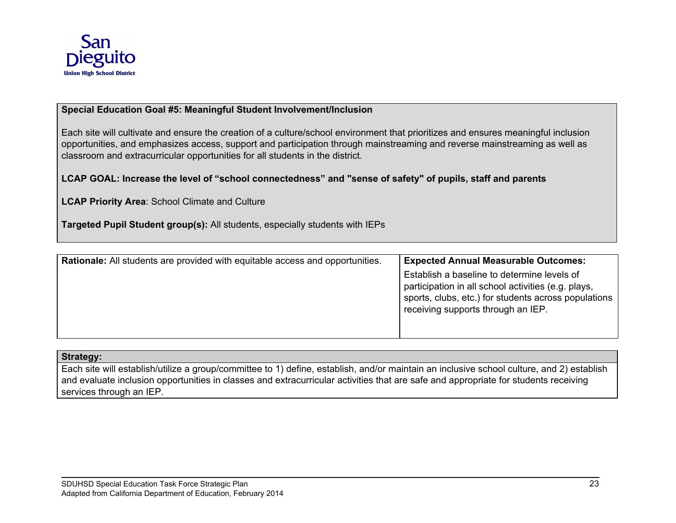

#### **Special Education Goal #5: Meaningful Student Involvement/Inclusion**

Each site will cultivate and ensure the creation of a culture/school environment that prioritizes and ensures meaningful inclusion opportunities, and emphasizes access, support and participation through mainstreaming and reverse mainstreaming as well as classroom and extracurricular opportunities for all students in the district.

#### LCAP GOAL: Increase the level of "school connectedness" and "sense of safety" of pupils, staff and parents

**LCAP Priority Area**: School Climate and Culture

**Targeted Pupil Student group(s):** All students, especially students with IEPs

| <b>Rationale:</b> All students are provided with equitable access and opportunities. | <b>Expected Annual Measurable Outcomes:</b>                                                                                                                                                      |
|--------------------------------------------------------------------------------------|--------------------------------------------------------------------------------------------------------------------------------------------------------------------------------------------------|
|                                                                                      | Establish a baseline to determine levels of<br>participation in all school activities (e.g. plays,<br>sports, clubs, etc.) for students across populations<br>receiving supports through an IEP. |

#### **Strategy:**

Each site will establish/utilize a group/committee to 1) define, establish, and/or maintain an inclusive school culture, and 2) establish and evaluate inclusion opportunities in classes and extracurricular activities that are safe and appropriate for students receiving services through an IEP.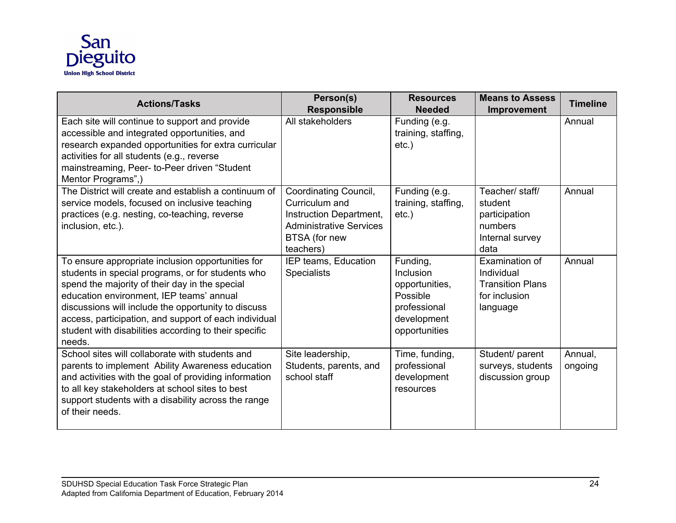

| <b>Actions/Tasks</b>                                                                                                                                                                                                                                                                                                                                                                    | Person(s)<br><b>Responsible</b>                                                                                                    | <b>Resources</b><br><b>Needed</b>                                                                   | <b>Means to Assess</b><br><b>Improvement</b>                                         | <b>Timeline</b>    |
|-----------------------------------------------------------------------------------------------------------------------------------------------------------------------------------------------------------------------------------------------------------------------------------------------------------------------------------------------------------------------------------------|------------------------------------------------------------------------------------------------------------------------------------|-----------------------------------------------------------------------------------------------------|--------------------------------------------------------------------------------------|--------------------|
| Each site will continue to support and provide<br>accessible and integrated opportunities, and<br>research expanded opportunities for extra curricular<br>activities for all students (e.g., reverse<br>mainstreaming, Peer- to-Peer driven "Student<br>Mentor Programs",)                                                                                                              | All stakeholders                                                                                                                   | Funding (e.g.<br>training, staffing,<br>$etc.$ )                                                    |                                                                                      | Annual             |
| The District will create and establish a continuum of<br>service models, focused on inclusive teaching<br>practices (e.g. nesting, co-teaching, reverse<br>inclusion, etc.).                                                                                                                                                                                                            | Coordinating Council,<br>Curriculum and<br>Instruction Department,<br><b>Administrative Services</b><br>BTSA (for new<br>teachers) | Funding (e.g.<br>training, staffing,<br>$etc.$ )                                                    | Teacher/ staff/<br>student<br>participation<br>numbers<br>Internal survey<br>data    | Annual             |
| To ensure appropriate inclusion opportunities for<br>students in special programs, or for students who<br>spend the majority of their day in the special<br>education environment, IEP teams' annual<br>discussions will include the opportunity to discuss<br>access, participation, and support of each individual<br>student with disabilities according to their specific<br>needs. | IEP teams, Education<br><b>Specialists</b>                                                                                         | Funding,<br>Inclusion<br>opportunities,<br>Possible<br>professional<br>development<br>opportunities | Examination of<br>Individual<br><b>Transition Plans</b><br>for inclusion<br>language | Annual             |
| School sites will collaborate with students and<br>parents to implement Ability Awareness education<br>and activities with the goal of providing information<br>to all key stakeholders at school sites to best<br>support students with a disability across the range<br>of their needs.                                                                                               | Site leadership,<br>Students, parents, and<br>school staff                                                                         | Time, funding,<br>professional<br>development<br>resources                                          | Student/ parent<br>surveys, students<br>discussion group                             | Annual,<br>ongoing |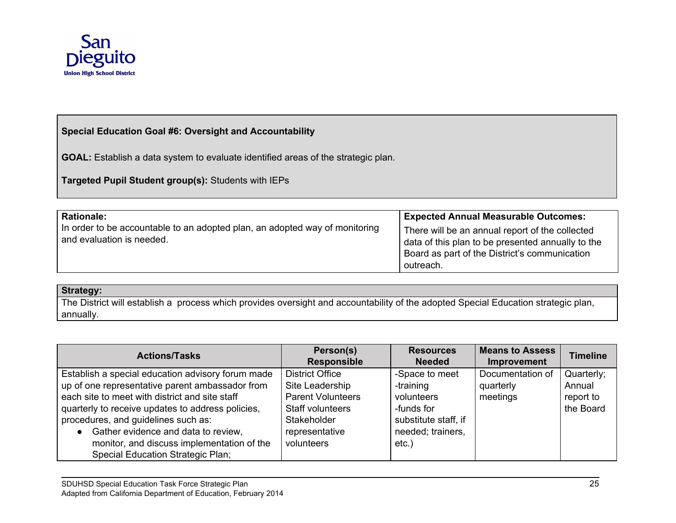

#### **Special Education Goal #6: Oversight and Accountability**

**GOAL:** Establish a data system to evaluate identified areas of the strategic plan.

**Targeted Pupil Student group(s):** Students with IEPs

| <b>Rationale:</b>                                                                                        | <b>Expected Annual Measurable Outcomes:</b>                                                                                                                        |
|----------------------------------------------------------------------------------------------------------|--------------------------------------------------------------------------------------------------------------------------------------------------------------------|
| In order to be accountable to an adopted plan, an adopted way of monitoring<br>and evaluation is needed. | There will be an annual report of the collected<br>data of this plan to be presented annually to the<br>Board as part of the District's communication<br>outreach. |

#### **Strategy:**

The District will establish a process which provides oversight and accountability of the adopted Special Education strategic plan, annually.

| <b>Actions/Tasks</b>                              | Person(s)<br><b>Responsible</b> | <b>Resources</b><br><b>Needed</b> | <b>Means to Assess</b><br>Improvement | <b>Timeline</b> |
|---------------------------------------------------|---------------------------------|-----------------------------------|---------------------------------------|-----------------|
| Establish a special education advisory forum made | <b>District Office</b>          | -Space to meet                    | Documentation of                      | Quarterly;      |
| up of one representative parent ambassador from   | Site Leadership                 | -training                         | quarterly                             | Annual          |
| each site to meet with district and site staff    | <b>Parent Volunteers</b>        | volunteers                        | meetings                              | report to       |
| quarterly to receive updates to address policies, | Staff volunteers                | -funds for                        |                                       | the Board       |
| procedures, and guidelines such as:               | Stakeholder                     | substitute staff, if              |                                       |                 |
| Gather evidence and data to review,               | representative                  | needed; trainers,                 |                                       |                 |
| monitor, and discuss implementation of the        | volunteers                      | $etc.$ )                          |                                       |                 |
| <b>Special Education Strategic Plan;</b>          |                                 |                                   |                                       |                 |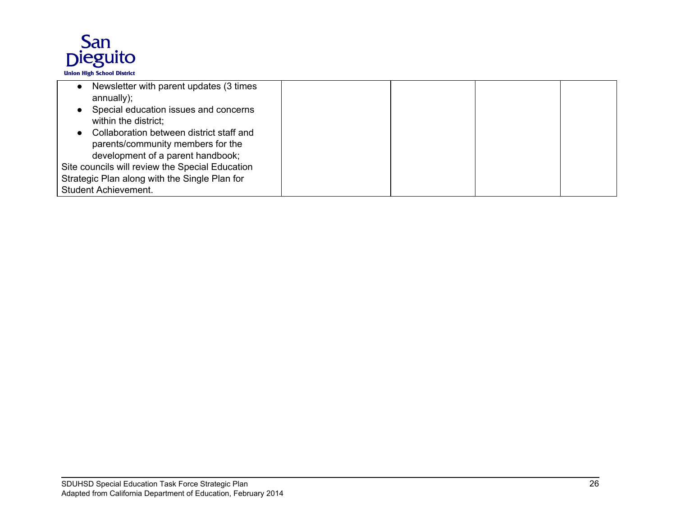

| Newsletter with parent updates (3 times         |  |  |
|-------------------------------------------------|--|--|
| annually);                                      |  |  |
| Special education issues and concerns           |  |  |
| within the district;                            |  |  |
| Collaboration between district staff and        |  |  |
| parents/community members for the               |  |  |
| development of a parent handbook;               |  |  |
| Site councils will review the Special Education |  |  |
| Strategic Plan along with the Single Plan for   |  |  |
| <b>Student Achievement.</b>                     |  |  |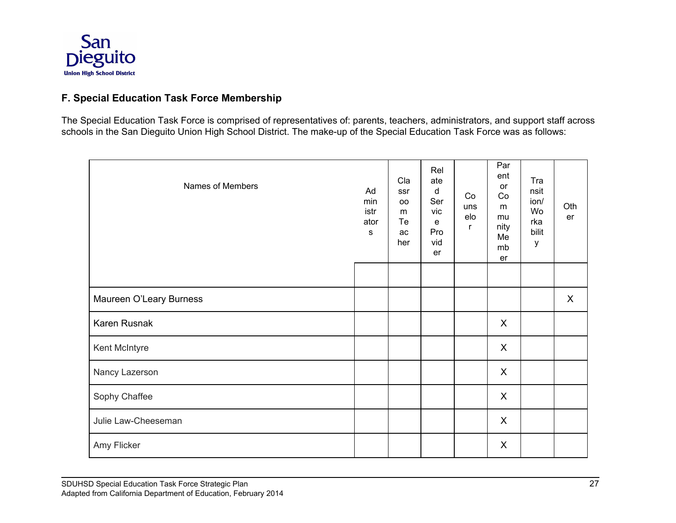

## **F. Special Education Task Force Membership**

The Special Education Task Force is comprised of representatives of: parents, teachers, administrators, and support staff across schools in the San Dieguito Union High School District. The make-up of the Special Education Task Force was as follows:

| Names of Members        | Ad<br>min<br>istr<br>ator<br>s | Cla<br>ssr<br><b>OO</b><br>m<br>Te<br>ac<br>her | Rel<br>ate<br>d<br>Ser<br>vic<br>е<br>Pro<br>vid<br>er | Co<br>uns<br>elo<br>r | Par<br>ent<br>or<br>Co<br>m<br>mu<br>nity<br>Me<br>mb<br>er | Tra<br>nsit<br>ion/<br>Wo<br>rka<br>bilit<br>у | Oth<br>er    |
|-------------------------|--------------------------------|-------------------------------------------------|--------------------------------------------------------|-----------------------|-------------------------------------------------------------|------------------------------------------------|--------------|
|                         |                                |                                                 |                                                        |                       |                                                             |                                                |              |
| Maureen O'Leary Burness |                                |                                                 |                                                        |                       |                                                             |                                                | $\mathsf{X}$ |
| Karen Rusnak            |                                |                                                 |                                                        |                       | X                                                           |                                                |              |
| Kent McIntyre           |                                |                                                 |                                                        |                       | X                                                           |                                                |              |
| Nancy Lazerson          |                                |                                                 |                                                        |                       | X                                                           |                                                |              |
| Sophy Chaffee           |                                |                                                 |                                                        |                       | X                                                           |                                                |              |
| Julie Law-Cheeseman     |                                |                                                 |                                                        |                       | X                                                           |                                                |              |
| Amy Flicker             |                                |                                                 |                                                        |                       | X                                                           |                                                |              |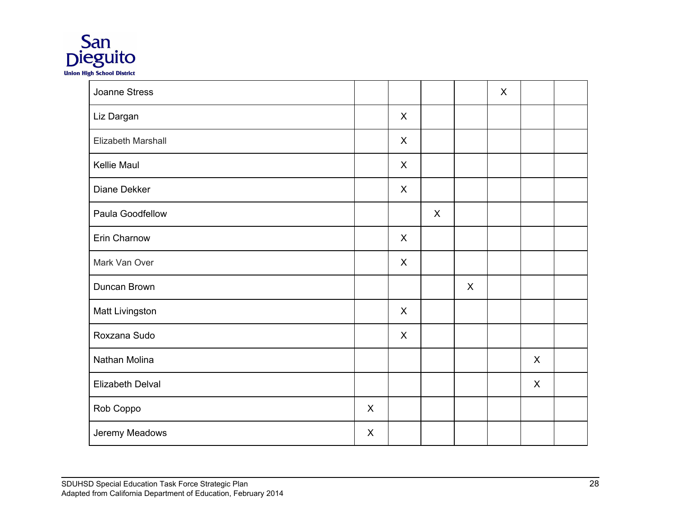

| <b>Joanne Stress</b> |   |              |              |              | $\sf X$ |              |  |
|----------------------|---|--------------|--------------|--------------|---------|--------------|--|
| Liz Dargan           |   | $\mathsf{X}$ |              |              |         |              |  |
| Elizabeth Marshall   |   | $\mathsf{X}$ |              |              |         |              |  |
| Kellie Maul          |   | $\mathsf{X}$ |              |              |         |              |  |
| Diane Dekker         |   | $\mathsf{X}$ |              |              |         |              |  |
| Paula Goodfellow     |   |              | $\mathsf{X}$ |              |         |              |  |
| Erin Charnow         |   | $\mathsf{X}$ |              |              |         |              |  |
| Mark Van Over        |   | $\mathsf{X}$ |              |              |         |              |  |
| Duncan Brown         |   |              |              | $\mathsf{X}$ |         |              |  |
| Matt Livingston      |   | $\mathsf{X}$ |              |              |         |              |  |
| Roxzana Sudo         |   | $\mathsf{X}$ |              |              |         |              |  |
| Nathan Molina        |   |              |              |              |         | $\mathsf{X}$ |  |
| Elizabeth Delval     |   |              |              |              |         | $\mathsf{X}$ |  |
| Rob Coppo            | X |              |              |              |         |              |  |
| Jeremy Meadows       | X |              |              |              |         |              |  |